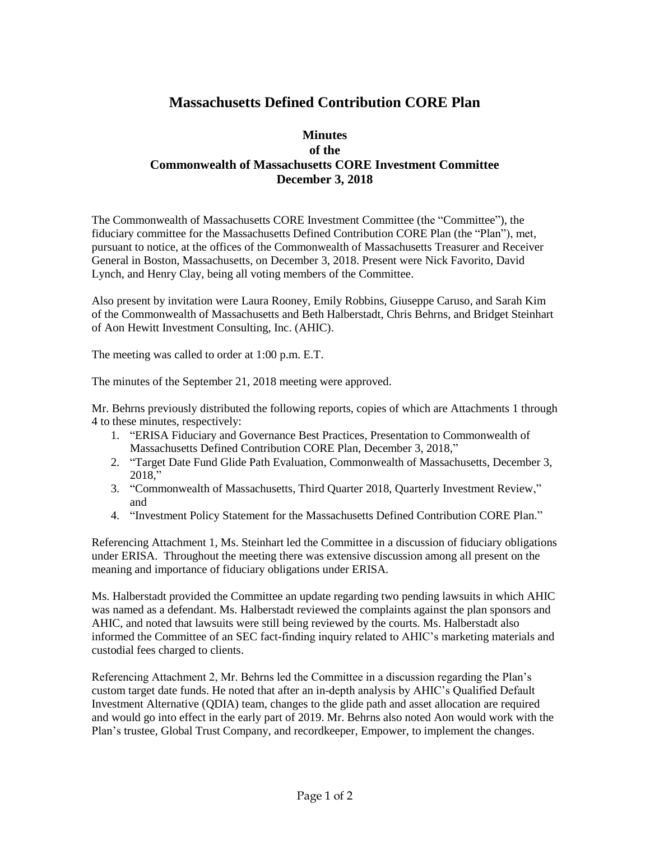## **Massachusetts Defined Contribution CORE Plan**

## **Minutes of the Commonwealth of Massachusetts CORE Investment Committee December 3, 2018**

The Commonwealth of Massachusetts CORE Investment Committee (the "Committee"), the fiduciary committee for the Massachusetts Defined Contribution CORE Plan (the "Plan"), met, pursuant to notice, at the offices of the Commonwealth of Massachusetts Treasurer and Receiver General in Boston, Massachusetts, on December 3, 2018. Present were Nick Favorito, David Lynch, and Henry Clay, being all voting members of the Committee.

Also present by invitation were Laura Rooney, Emily Robbins, Giuseppe Caruso, and Sarah Kim of the Commonwealth of Massachusetts and Beth Halberstadt, Chris Behrns, and Bridget Steinhart of Aon Hewitt Investment Consulting, Inc. (AHIC).

The meeting was called to order at 1:00 p.m. E.T.

The minutes of the September 21, 2018 meeting were approved.

Mr. Behrns previously distributed the following reports, copies of which are Attachments 1 through 4 to these minutes, respectively:

- 1. "ERISA Fiduciary and Governance Best Practices, Presentation to Commonwealth of Massachusetts Defined Contribution CORE Plan, December 3, 2018,"
- 2. "Target Date Fund Glide Path Evaluation, Commonwealth of Massachusetts, December 3, 2018,"
- 3. "Commonwealth of Massachusetts, Third Quarter 2018, Quarterly Investment Review," and
- 4. "Investment Policy Statement for the Massachusetts Defined Contribution CORE Plan."

Referencing Attachment 1, Ms. Steinhart led the Committee in a discussion of fiduciary obligations under ERISA. Throughout the meeting there was extensive discussion among all present on the meaning and importance of fiduciary obligations under ERISA.

Ms. Halberstadt provided the Committee an update regarding two pending lawsuits in which AHIC was named as a defendant. Ms. Halberstadt reviewed the complaints against the plan sponsors and AHIC, and noted that lawsuits were still being reviewed by the courts. Ms. Halberstadt also informed the Committee of an SEC fact-finding inquiry related to AHIC's marketing materials and custodial fees charged to clients.

Referencing Attachment 2, Mr. Behrns led the Committee in a discussion regarding the Plan's custom target date funds. He noted that after an in-depth analysis by AHIC's Qualified Default Investment Alternative (QDIA) team, changes to the glide path and asset allocation are required and would go into effect in the early part of 2019. Mr. Behrns also noted Aon would work with the Plan's trustee, Global Trust Company, and recordkeeper, Empower, to implement the changes.